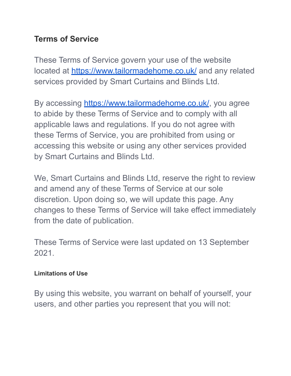# **Terms of Service**

These Terms of Service govern your use of the website located at <https://www.tailormadehome.co.uk/> and any related services provided by Smart Curtains and Blinds Ltd.

By accessing <https://www.tailormadehome.co.uk/>, you agree to abide by these Terms of Service and to comply with all applicable laws and regulations. If you do not agree with these Terms of Service, you are prohibited from using or accessing this website or using any other services provided by Smart Curtains and Blinds Ltd.

We, Smart Curtains and Blinds Ltd, reserve the right to review and amend any of these Terms of Service at our sole discretion. Upon doing so, we will update this page. Any changes to these Terms of Service will take effect immediately from the date of publication.

These Terms of Service were last updated on 13 September 2021.

### **Limitations of Use**

By using this website, you warrant on behalf of yourself, your users, and other parties you represent that you will not: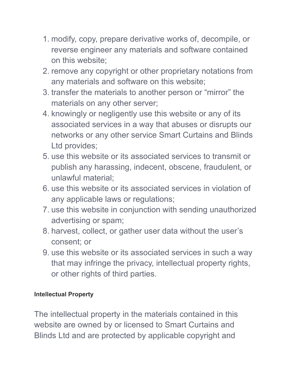- 1. modify, copy, prepare derivative works of, decompile, or reverse engineer any materials and software contained on this website;
- 2. remove any copyright or other proprietary notations from any materials and software on this website;
- 3. transfer the materials to another person or "mirror" the materials on any other server;
- 4. knowingly or negligently use this website or any of its associated services in a way that abuses or disrupts our networks or any other service Smart Curtains and Blinds Ltd provides;
- 5. use this website or its associated services to transmit or publish any harassing, indecent, obscene, fraudulent, or unlawful material;
- 6. use this website or its associated services in violation of any applicable laws or regulations;
- 7. use this website in conjunction with sending unauthorized advertising or spam;
- 8. harvest, collect, or gather user data without the user's consent; or
- 9. use this website or its associated services in such a way that may infringe the privacy, intellectual property rights, or other rights of third parties.

### **Intellectual Property**

The intellectual property in the materials contained in this website are owned by or licensed to Smart Curtains and Blinds Ltd and are protected by applicable copyright and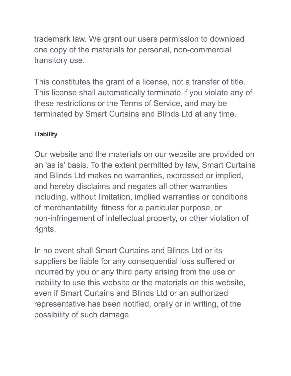trademark law. We grant our users permission to download one copy of the materials for personal, non-commercial transitory use.

This constitutes the grant of a license, not a transfer of title. This license shall automatically terminate if you violate any of these restrictions or the Terms of Service, and may be terminated by Smart Curtains and Blinds Ltd at any time.

# **Liability**

Our website and the materials on our website are provided on an 'as is' basis. To the extent permitted by law, Smart Curtains and Blinds Ltd makes no warranties, expressed or implied, and hereby disclaims and negates all other warranties including, without limitation, implied warranties or conditions of merchantability, fitness for a particular purpose, or non-infringement of intellectual property, or other violation of rights.

In no event shall Smart Curtains and Blinds Ltd or its suppliers be liable for any consequential loss suffered or incurred by you or any third party arising from the use or inability to use this website or the materials on this website, even if Smart Curtains and Blinds Ltd or an authorized representative has been notified, orally or in writing, of the possibility of such damage.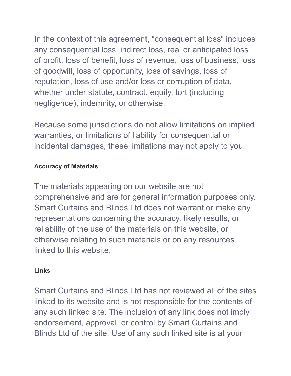In the context of this agreement, "consequential loss" includes any consequential loss, indirect loss, real or anticipated loss of profit, loss of benefit, loss of revenue, loss of business, loss of goodwill, loss of opportunity, loss of savings, loss of reputation, loss of use and/or loss or corruption of data, whether under statute, contract, equity, tort (including negligence), indemnity, or otherwise.

Because some jurisdictions do not allow limitations on implied warranties, or limitations of liability for consequential or incidental damages, these limitations may not apply to you.

# **Accuracy of Materials**

The materials appearing on our website are not comprehensive and are for general information purposes only. Smart Curtains and Blinds Ltd does not warrant or make any representations concerning the accuracy, likely results, or reliability of the use of the materials on this website, or otherwise relating to such materials or on any resources linked to this website.

### **Links**

Smart Curtains and Blinds Ltd has not reviewed all of the sites linked to its website and is not responsible for the contents of any such linked site. The inclusion of any link does not imply endorsement, approval, or control by Smart Curtains and Blinds Ltd of the site. Use of any such linked site is at your